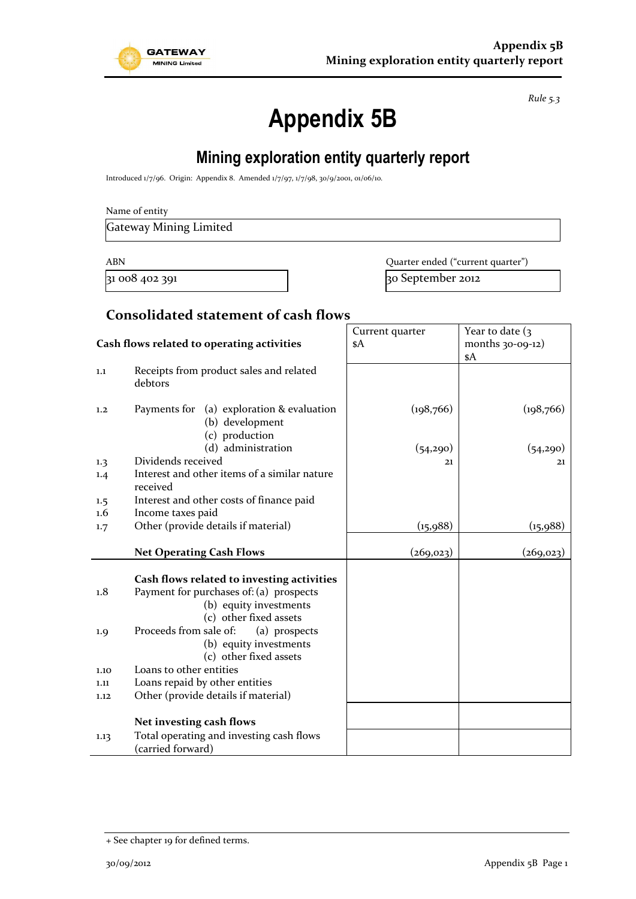

*Rule 5.3*

# **Appendix 5B**

# **Mining exploration entity quarterly report**

Introduced 1/7/96. Origin: Appendix 8. Amended 1/7/97, 1/7/98, 30/9/2001, 01/06/10.

| Name of entity |
|----------------|
|----------------|

Gateway Mining Limited

ABN **ABN** Quarter ended ("current quarter") 31 008 402 391 30 September 2012

#### **Consolidated statement of cash flows**

|                                            |                                                                                   | Current quarter | Year to date $(3)$  |
|--------------------------------------------|-----------------------------------------------------------------------------------|-----------------|---------------------|
| Cash flows related to operating activities |                                                                                   | \$A             | months $30-09-12$ ) |
|                                            |                                                                                   |                 | \$A                 |
| 1.1                                        | Receipts from product sales and related<br>debtors                                |                 |                     |
| 1,2                                        | (a) exploration & evaluation<br>Payments for<br>(b) development<br>(c) production | (198, 766)      | (198, 766)          |
|                                            | (d) administration                                                                | (54,290)        | (54, 290)           |
| 1.3                                        | Dividends received                                                                | 21              | 21                  |
| 1.4                                        | Interest and other items of a similar nature<br>received                          |                 |                     |
| $1.5\,$                                    | Interest and other costs of finance paid                                          |                 |                     |
| $1.6\,$                                    | Income taxes paid                                                                 |                 |                     |
| 1.7                                        | Other (provide details if material)                                               | (15,988)        | (15,988)            |
|                                            |                                                                                   |                 |                     |
|                                            | <b>Net Operating Cash Flows</b>                                                   | (269, 023)      | (269, 023)          |
|                                            |                                                                                   |                 |                     |
|                                            | Cash flows related to investing activities                                        |                 |                     |
| 1.8                                        | Payment for purchases of: (a) prospects                                           |                 |                     |
|                                            | (b) equity investments                                                            |                 |                     |
|                                            | (c) other fixed assets                                                            |                 |                     |
| 1.9                                        | Proceeds from sale of:<br>(a) prospects                                           |                 |                     |
|                                            | (b) equity investments                                                            |                 |                     |
|                                            | (c) other fixed assets                                                            |                 |                     |
| 1.10                                       | Loans to other entities                                                           |                 |                     |
| 1.11                                       | Loans repaid by other entities                                                    |                 |                     |
| 1.12                                       | Other (provide details if material)                                               |                 |                     |
|                                            | Net investing cash flows                                                          |                 |                     |
| 1.13                                       | Total operating and investing cash flows<br>(carried forward)                     |                 |                     |

<sup>+</sup> See chapter 19 for defined terms.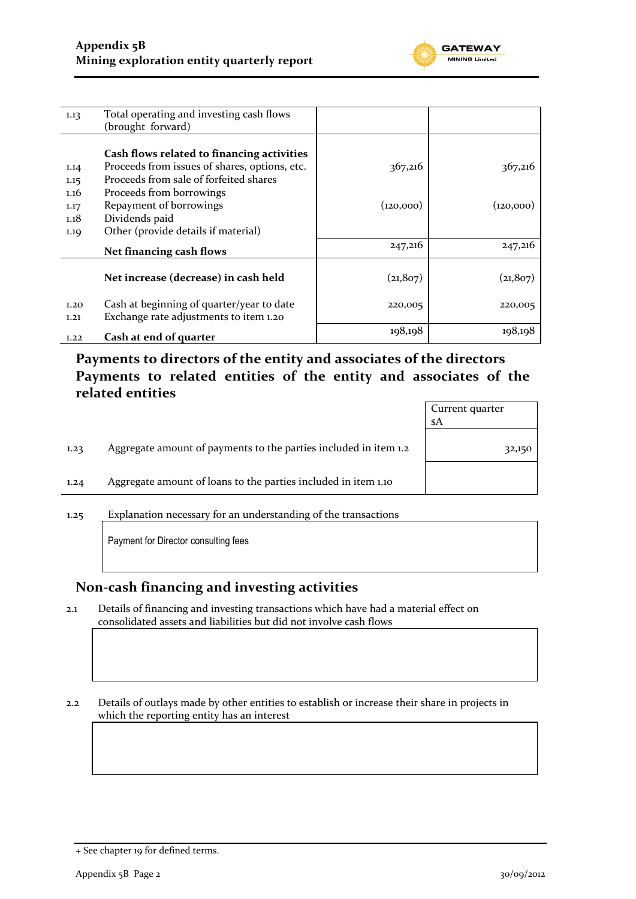

| 1.13                                 | Total operating and investing cash flows<br>(brought forward)                                                                                                                                                  |                      |                      |
|--------------------------------------|----------------------------------------------------------------------------------------------------------------------------------------------------------------------------------------------------------------|----------------------|----------------------|
| 1.14<br>1.15<br>1.16<br>1.17<br>1.18 | Cash flows related to financing activities<br>Proceeds from issues of shares, options, etc.<br>Proceeds from sale of forfeited shares<br>Proceeds from borrowings<br>Repayment of borrowings<br>Dividends paid | 367,216<br>(120,000) | 367,216<br>(120,000) |
| 1.19                                 | Other (provide details if material)                                                                                                                                                                            | 247,216              | 247,216              |
|                                      | Net financing cash flows                                                                                                                                                                                       |                      |                      |
|                                      | Net increase (decrease) in cash held                                                                                                                                                                           | (21, 807)            | (21, 807)            |
| 1.20                                 | Cash at beginning of quarter/year to date                                                                                                                                                                      | 220,005              | 220,005              |
| 1,21                                 | Exchange rate adjustments to item 1.20                                                                                                                                                                         |                      |                      |
| 1.22                                 | Cash at end of quarter                                                                                                                                                                                         | 198,198              | 198,198              |

#### **Payments to directors of the entity and associates of the directors Payments to related entities of the entity and associates of the related entities**

|      |                                                                  | Current quarter<br>\$A |
|------|------------------------------------------------------------------|------------------------|
| 1.23 | Aggregate amount of payments to the parties included in item 1.2 | 32,150                 |
| 1.24 | Aggregate amount of loans to the parties included in item 1.10   |                        |
|      |                                                                  |                        |

1.25 Explanation necessary for an understanding of the transactions

Payment for Director consulting fees

#### **Non-cash financing and investing activities**

2.1 Details of financing and investing transactions which have had a material effect on consolidated assets and liabilities but did not involve cash flows

2.2 Details of outlays made by other entities to establish or increase their share in projects in which the reporting entity has an interest

<sup>+</sup> See chapter 19 for defined terms.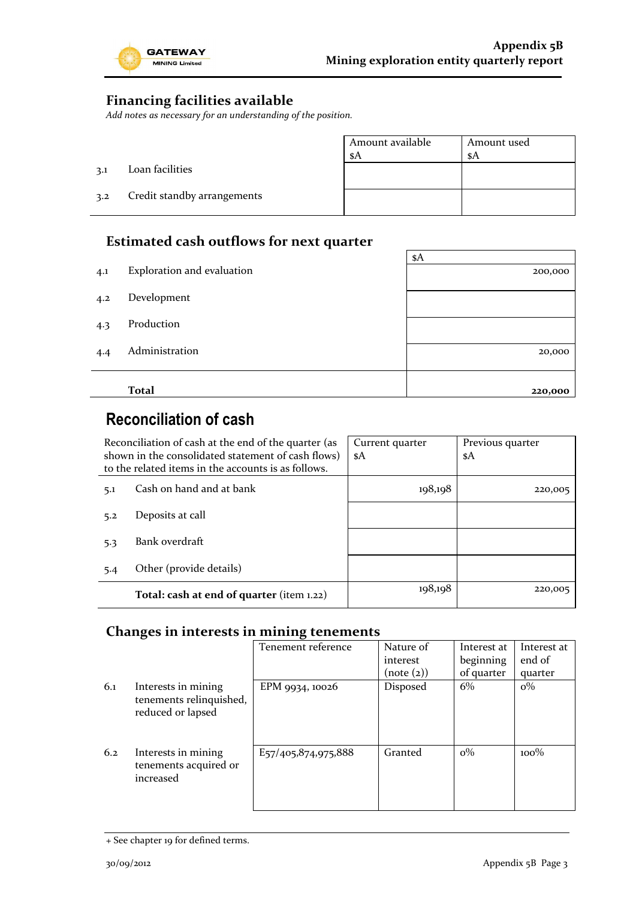

#### **Financing facilities available**

*Add notes as necessary for an understanding of the position.*

|     |                             | Amount available<br>\$A | Amount used<br>-sA |
|-----|-----------------------------|-------------------------|--------------------|
| 3.1 | Loan facilities             |                         |                    |
| 3.2 | Credit standby arrangements |                         |                    |

### **Estimated cash outflows for next quarter**

|     |                            | \$A     |  |  |
|-----|----------------------------|---------|--|--|
| 4.1 | Exploration and evaluation | 200,000 |  |  |
|     |                            |         |  |  |
| 4.2 | Development                |         |  |  |
|     |                            |         |  |  |
| 4.3 | Production                 |         |  |  |
|     | Administration             |         |  |  |
| 4.4 |                            | 20,000  |  |  |
|     |                            |         |  |  |
|     | <b>Total</b>               | 220,000 |  |  |

# **Reconciliation of cash**

| Reconciliation of cash at the end of the quarter (as<br>shown in the consolidated statement of cash flows)<br>to the related items in the accounts is as follows. |                                           | Current quarter<br>\$A | Previous quarter<br>\$A |
|-------------------------------------------------------------------------------------------------------------------------------------------------------------------|-------------------------------------------|------------------------|-------------------------|
| 5.1                                                                                                                                                               | Cash on hand and at bank                  | 198,198                | 220,005                 |
| 5.2                                                                                                                                                               | Deposits at call                          |                        |                         |
| 5.3                                                                                                                                                               | Bank overdraft                            |                        |                         |
| 5.4                                                                                                                                                               | Other (provide details)                   |                        |                         |
|                                                                                                                                                                   | Total: cash at end of quarter (item 1.22) | 198,198                | 220,005                 |

#### **Changes in interests in mining tenements**

|     |                                                                     | Tenement reference  | Nature of<br>interest<br>(note (2)) | Interest at<br>beginning<br>of quarter | Interest at<br>end of<br>quarter |
|-----|---------------------------------------------------------------------|---------------------|-------------------------------------|----------------------------------------|----------------------------------|
| 6.1 | Interests in mining<br>tenements relinquished,<br>reduced or lapsed | EPM 9934, 10026     | Disposed                            | 6%                                     | $o\%$                            |
| 6.2 | Interests in mining<br>tenements acquired or<br>increased           | E57/405,874,975,888 | Granted                             | $\rm o\%$                              | $100\%$                          |

<sup>+</sup> See chapter 19 for defined terms.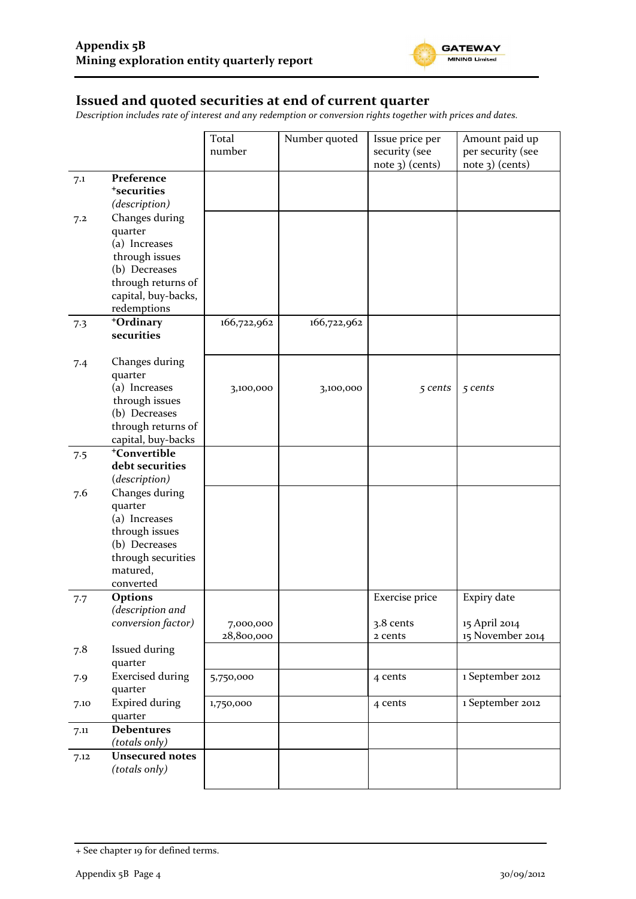

#### **Issued and quoted securities at end of current quarter**

*Description includes rate of interest and any redemption or conversion rights together with prices and dates.*

|      |                                  | Total<br>number | Number quoted | Issue price per<br>security (see | Amount paid up<br>per security (see |
|------|----------------------------------|-----------------|---------------|----------------------------------|-------------------------------------|
|      |                                  |                 |               | note 3) (cents)                  | $note$ 3) (cents)                   |
| 7.1  | Preference                       |                 |               |                                  |                                     |
|      | <sup>+</sup> securities          |                 |               |                                  |                                     |
|      | (description)                    |                 |               |                                  |                                     |
| 7.2  | Changes during<br>quarter        |                 |               |                                  |                                     |
|      | (a) Increases                    |                 |               |                                  |                                     |
|      | through issues                   |                 |               |                                  |                                     |
|      | (b) Decreases                    |                 |               |                                  |                                     |
|      | through returns of               |                 |               |                                  |                                     |
|      | capital, buy-backs,              |                 |               |                                  |                                     |
|      | redemptions<br>+Ordinary         | 166,722,962     | 166,722,962   |                                  |                                     |
| 7.3  | securities                       |                 |               |                                  |                                     |
|      |                                  |                 |               |                                  |                                     |
| 7.4  | Changes during                   |                 |               |                                  |                                     |
|      | quarter                          |                 |               |                                  |                                     |
|      | (a) Increases                    | 3,100,000       | 3,100,000     | 5 cents                          | 5 cents                             |
|      | through issues<br>(b) Decreases  |                 |               |                                  |                                     |
|      | through returns of               |                 |               |                                  |                                     |
|      | capital, buy-backs               |                 |               |                                  |                                     |
| 7.5  | <sup>+</sup> Convertible         |                 |               |                                  |                                     |
|      | debt securities                  |                 |               |                                  |                                     |
|      | (description)                    |                 |               |                                  |                                     |
| 7.6  | Changes during                   |                 |               |                                  |                                     |
|      | quarter<br>(a) Increases         |                 |               |                                  |                                     |
|      | through issues                   |                 |               |                                  |                                     |
|      | (b) Decreases                    |                 |               |                                  |                                     |
|      | through securities               |                 |               |                                  |                                     |
|      | matured,                         |                 |               |                                  |                                     |
|      | converted                        |                 |               |                                  |                                     |
| 7.7  | Options<br>(description and      |                 |               | Exercise price                   | Expiry date                         |
|      | conversion factor)               | 7,000,000       |               | 3.8 cents                        | 15 April 2014                       |
|      |                                  | 28,800,000      |               | 2 cents                          | 15 November 2014                    |
| 7.8  | Issued during                    |                 |               |                                  |                                     |
|      | quarter                          |                 |               |                                  |                                     |
| 7.9  | <b>Exercised during</b>          | 5,750,000       |               | 4 cents                          | 1 September 2012                    |
|      | quarter                          |                 |               |                                  |                                     |
| 7.10 | <b>Expired during</b><br>quarter | 1,750,000       |               | 4 cents                          | 1 September 2012                    |
|      | <b>Debentures</b>                |                 |               |                                  |                                     |
| 7.11 | (totals only)                    |                 |               |                                  |                                     |
| 7.12 | <b>Unsecured notes</b>           |                 |               |                                  |                                     |
|      | (totals only)                    |                 |               |                                  |                                     |
|      |                                  |                 |               |                                  |                                     |

<sup>+</sup> See chapter 19 for defined terms.